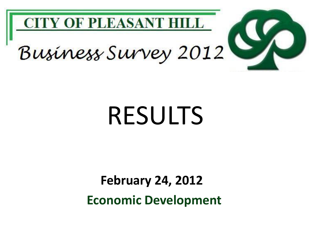

# RESULTS

**Economic Development February 24, 2012**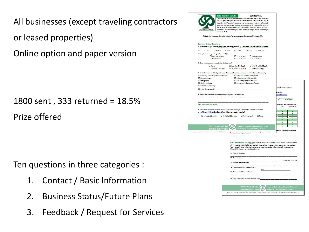All businesses (except traveling contractors or leased properties) Online option and paper version

1800 sent , 333 returned = 18.5% Prize offered

Ten questions in three categories :

- 1. Contact / Basic Information
- 2. Business Status/Future Plans
- 3. Feedback / Request for Services

| CITY OF PLEASANT HILL                                                                           | The City of Pleasant Hill is conducting a survey of businesses so that we may better serve<br>you. All information provided will be kept confidential and will be seen only by<br>designated staff. Pleasant Hill appreciates your comments and is affering a raffle prize to<br>responding business owners. Return a completed survey via e-mail, anline, or by U.S.<br>mail on or before January 6, 2012 to be entered into a raffle for a \$200 gift card from a<br>Pleasant Hill retail merchant of your choice. Winner of the raffle drawing will be notified |                                                                                                                |                                                                                                               |                                                                                                                                                                                                                         |
|-------------------------------------------------------------------------------------------------|--------------------------------------------------------------------------------------------------------------------------------------------------------------------------------------------------------------------------------------------------------------------------------------------------------------------------------------------------------------------------------------------------------------------------------------------------------------------------------------------------------------------------------------------------------------------|----------------------------------------------------------------------------------------------------------------|---------------------------------------------------------------------------------------------------------------|-------------------------------------------------------------------------------------------------------------------------------------------------------------------------------------------------------------------------|
|                                                                                                 |                                                                                                                                                                                                                                                                                                                                                                                                                                                                                                                                                                    | To take the survey online, visit https://www.surveymonkey.com/s/BizSurvey2012                                  |                                                                                                               |                                                                                                                                                                                                                         |
| <b>Business Status Questions</b>                                                                |                                                                                                                                                                                                                                                                                                                                                                                                                                                                                                                                                                    |                                                                                                                | 1. Number of people currently employed, including yourself? (If a franchise, only at this specific location.) |                                                                                                                                                                                                                         |
| $\Box$ 1<br>$\Box$ 2-5<br>2. Length of time operating in Pleasant Hill.?                        | 5 to 10<br>$\Box$ 11-20                                                                                                                                                                                                                                                                                                                                                                                                                                                                                                                                            | $\Box$ 21-50                                                                                                   | $\Box$ 51-100<br>$\Box$ Over 100                                                                              |                                                                                                                                                                                                                         |
|                                                                                                 | U Less than 5 Years<br>5 to 10 Years                                                                                                                                                                                                                                                                                                                                                                                                                                                                                                                               | 11 to 20 Years<br>□ 21 to 30 Years □ Over 40 Years                                                             | 131 to 40 Years                                                                                               |                                                                                                                                                                                                                         |
| 3. Total space currently occupied by the business?                                              |                                                                                                                                                                                                                                                                                                                                                                                                                                                                                                                                                                    |                                                                                                                |                                                                                                               |                                                                                                                                                                                                                         |
| $\Box$ Home                                                                                     | □ Less than 2,500 sq.ft                                                                                                                                                                                                                                                                                                                                                                                                                                                                                                                                            | □ 5,000 to 10,000 sq.ft                                                                                        | □ Less than 5,000 sq.ft  □ 10,000 to 20,000 sq.ft<br>Over 20,000 sq.ft                                        |                                                                                                                                                                                                                         |
|                                                                                                 |                                                                                                                                                                                                                                                                                                                                                                                                                                                                                                                                                                    |                                                                                                                | 4. Is the business considering taking any of these actions, in the next two years? Indicate all that apply.   |                                                                                                                                                                                                                         |
| Expanding Business Space in Pleasant Hill<br>Renewing Lease                                     |                                                                                                                                                                                                                                                                                                                                                                                                                                                                                                                                                                    | D Expanding Number of Employees<br><b>D</b> Relocating out of Pleasant Hill<br>Relocating within Pleasant Hill |                                                                                                               |                                                                                                                                                                                                                         |
| <b>D</b> Ending Lease<br>Closing Business                                                       |                                                                                                                                                                                                                                                                                                                                                                                                                                                                                                                                                                    | $\square$ Investment in Equipment/Property                                                                     |                                                                                                               |                                                                                                                                                                                                                         |
| Investment in Training<br>Other (Please specify)                                                |                                                                                                                                                                                                                                                                                                                                                                                                                                                                                                                                                                    |                                                                                                                |                                                                                                               | Refinancing Information                                                                                                                                                                                                 |
| <b>City Services Questions</b>                                                                  |                                                                                                                                                                                                                                                                                                                                                                                                                                                                                                                                                                    |                                                                                                                |                                                                                                               | mybusiness-related_topics?<br>would you rate the experience?                                                                                                                                                            |
| 6. Useful information for businesses can be found on the City's Economic Development website at |                                                                                                                                                                                                                                                                                                                                                                                                                                                                                                                                                                    |                                                                                                                |                                                                                                               | Did Not Use<br>Poor                                                                                                                                                                                                     |
| www.Pleasant-Hill.net/EconDev. When did you last use the website?                               |                                                                                                                                                                                                                                                                                                                                                                                                                                                                                                                                                                    |                                                                                                                |                                                                                                               | ۰<br>ь<br><b>D</b><br>$\blacksquare$                                                                                                                                                                                    |
|                                                                                                 | $\Box$ In the Last 3 months $\Box$ In the Last 12 months                                                                                                                                                                                                                                                                                                                                                                                                                                                                                                           | DOnce Previously                                                                                               | D Never                                                                                                       | $\blacksquare$<br>٠<br>$\blacksquare$<br>$\blacksquare$<br>۰<br>ö                                                                                                                                                       |
|                                                                                                 |                                                                                                                                                                                                                                                                                                                                                                                                                                                                                                                                                                    |                                                                                                                |                                                                                                               | $\blacksquare$<br>ö.                                                                                                                                                                                                    |
|                                                                                                 | <b>CITY OF PLEASANT HILL</b>                                                                                                                                                                                                                                                                                                                                                                                                                                                                                                                                       |                                                                                                                | Return to: Kelly Calhoun, Pleasant Hill City Hall<br>100 Gregory Lane, Pleasant Hill, CA 94523                | ۰<br>۰<br>ö<br>ö                                                                                                                                                                                                        |
|                                                                                                 | <b>BUSINESS SURVEY 2012</b><br>Questions about this survey Y Contact Kelly Calhoun at \$25.671-6212, kcalho                                                                                                                                                                                                                                                                                                                                                                                                                                                        |                                                                                                                | or Martin Nels at 925 671-5229 or mrela@cl pleasent-infilica.us                                               | ant Hill provide that would be                                                                                                                                                                                          |
|                                                                                                 |                                                                                                                                                                                                                                                                                                                                                                                                                                                                                                                                                                    |                                                                                                                |                                                                                                               | Basic Information Please provide contact information for yourself and your business. Your email address<br>will be kept internal to the City, and used only for occasional messages related to enhancing your business. |
|                                                                                                 |                                                                                                                                                                                                                                                                                                                                                                                                                                                                                                                                                                    | Pleasant Hill directory for potential customers.<br>11. Name of Business                                       |                                                                                                               | Your business's name, website, and customer service phone number will be included in a future online                                                                                                                    |
|                                                                                                 |                                                                                                                                                                                                                                                                                                                                                                                                                                                                                                                                                                    | 12. Street Address                                                                                             |                                                                                                               |                                                                                                                                                                                                                         |
|                                                                                                 |                                                                                                                                                                                                                                                                                                                                                                                                                                                                                                                                                                    | 13. Business website address                                                                                   |                                                                                                               |                                                                                                                                                                                                                         |
|                                                                                                 |                                                                                                                                                                                                                                                                                                                                                                                                                                                                                                                                                                    | 14. Phone Number for Customer Service                                                                          | (925)                                                                                                         |                                                                                                                                                                                                                         |
|                                                                                                 |                                                                                                                                                                                                                                                                                                                                                                                                                                                                                                                                                                    | 15. Name of Local Business Owner<br>16. Email Address and Phone Number of Owner                                |                                                                                                               | Pleasant Hill, CA 94523                                                                                                                                                                                                 |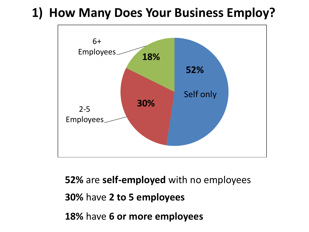## **1) How Many Does Your Business Employ?**



**52%** are **self-employed** with no employees **30%** have **2 to 5 employees 18%** have **6 or more employees**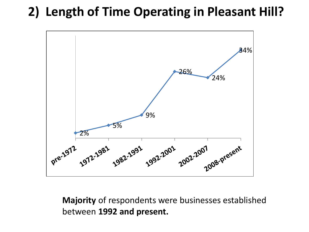## **2) Length of Time Operating in Pleasant Hill?**



#### **Majority** of respondents were businesses established between **1992 and present.**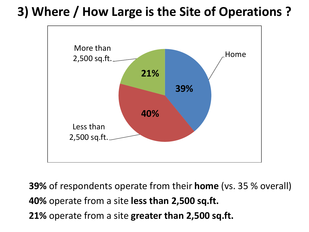## **3) Where / How Large is the Site of Operations ?**



**39%** of respondents operate from their **home** (vs. 35 % overall) **40%** operate from a site **less than 2,500 sq.ft. 21%** operate from a site **greater than 2,500 sq.ft.**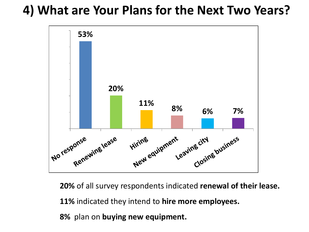### **4) What are Your Plans for the Next Two Years?**



**20%** of all survey respondents indicated **renewal of their lease.** 

**11%** indicated they intend to **hire more employees.**

**8%** plan on **buying new equipment.**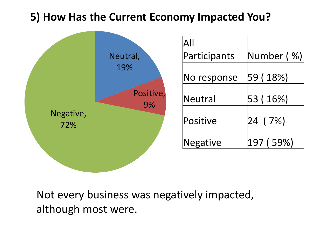#### **5) How Has the Current Economy Impacted You?**

|                  |                 | $\mathsf{All}$ |            |
|------------------|-----------------|----------------|------------|
|                  | Neutral,        | Participants   | Number (%) |
|                  | 19%             | No response    | 59 (18%)   |
|                  | Positive,<br>9% | Neutral        | 53 (16%)   |
| Negative,<br>72% |                 | Positive       | 7%)<br> 24 |
|                  |                 | Negative       | 197 (59%)  |
|                  |                 |                |            |

Not every business was negatively impacted, although most were.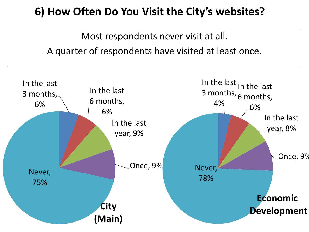#### **6) How Often Do You Visit the City's websites?**



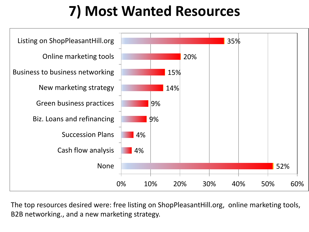## **7) Most Wanted Resources**



The top resources desired were: free listing on ShopPleasantHill.org, online marketing tools, B2B networking., and a new marketing strategy.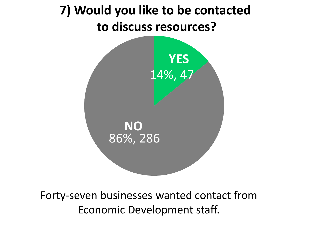## **7) Would you like to be contacted to discuss resources?**



Forty-seven businesses wanted contact from Economic Development staff.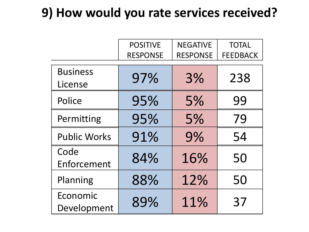## **9) How would you rate services received?**

|                            | <b>POSITIVE</b><br><b>RESPONSE</b> | <b>NEGATIVE</b><br><b>RESPONSE</b> | <b>TOTAL</b><br><b>FEEDBACK</b> |
|----------------------------|------------------------------------|------------------------------------|---------------------------------|
| <b>Business</b><br>License | 97%                                | 3%                                 | 238                             |
| Police                     | 95%                                | 5%                                 | 99                              |
| Permitting                 | 95%                                | 5%                                 | 79                              |
| <b>Public Works</b>        | 91%                                | 9%                                 | 54                              |
| Code<br>Enforcement        | 84%                                | 16%                                | 50                              |
| Planning                   | 88%                                | 12%                                | 50                              |
| Economic<br>Development    | 89%                                | 11%                                | 37                              |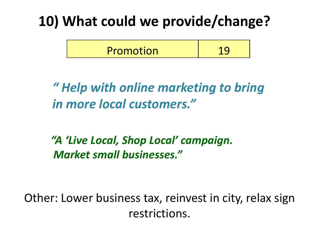## **10) What could we provide/change?**



*" Help with online marketing to bring in more local customers."*

*"A 'Live Local, Shop Local' campaign. Market small businesses."*

Other: Lower business tax, reinvest in city, relax sign restrictions.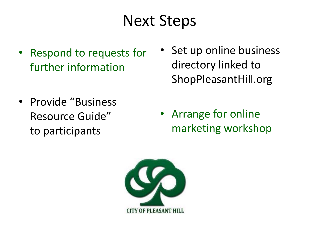## Next Steps

- Respond to requests for further information
- Provide "Business Resource Guide" to participants
- Set up online business directory linked to ShopPleasantHill.org
- Arrange for online marketing workshop

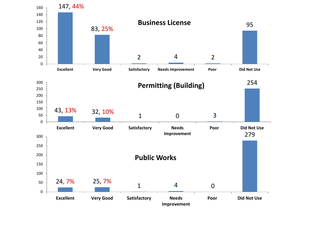